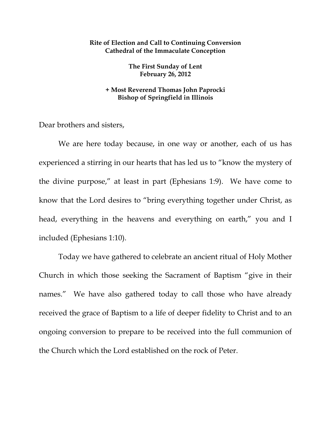## **Rite of Election and Call to Continuing Conversion Cathedral of the Immaculate Conception**

**The First Sunday of Lent February 26, 2012** 

## **+ Most Reverend Thomas John Paprocki Bishop of Springfield in Illinois**

Dear brothers and sisters,

 We are here today because, in one way or another, each of us has experienced a stirring in our hearts that has led us to "know the mystery of the divine purpose," at least in part (Ephesians 1:9). We have come to know that the Lord desires to "bring everything together under Christ, as head, everything in the heavens and everything on earth," you and I included (Ephesians 1:10).

 Today we have gathered to celebrate an ancient ritual of Holy Mother Church in which those seeking the Sacrament of Baptism "give in their names." We have also gathered today to call those who have already received the grace of Baptism to a life of deeper fidelity to Christ and to an ongoing conversion to prepare to be received into the full communion of the Church which the Lord established on the rock of Peter.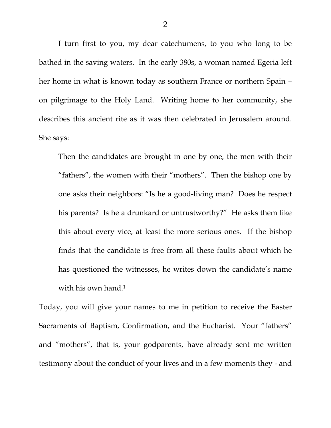I turn first to you, my dear catechumens, to you who long to be bathed in the saving waters. In the early 380s, a woman named Egeria left her home in what is known today as southern France or northern Spain – on pilgrimage to the Holy Land. Writing home to her community, she describes this ancient rite as it was then celebrated in Jerusalem around. She says:

Then the candidates are brought in one by one, the men with their "fathers", the women with their "mothers". Then the bishop one by one asks their neighbors: "Is he a good-living man? Does he respect his parents? Is he a drunkard or untrustworthy?" He asks them like this about every vice, at least the more serious ones. If the bishop finds that the candidate is free from all these faults about which he has questioned the witnesses, he writes down the candidate's name with his own hand.<sup>1</sup>

Today, you will give your names to me in petition to receive the Easter Sacraments of Baptism, Confirmation, and the Eucharist. Your "fathers" and "mothers", that is, your godparents, have already sent me written testimony about the conduct of your lives and in a few moments they - and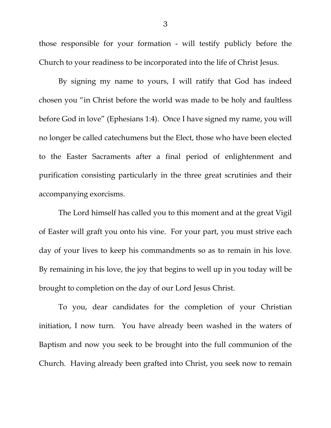those responsible for your formation - will testify publicly before the Church to your readiness to be incorporated into the life of Christ Jesus.

By signing my name to yours, I will ratify that God has indeed chosen you "in Christ before the world was made to be holy and faultless before God in love" (Ephesians 1:4). Once I have signed my name, you will no longer be called catechumens but the Elect, those who have been elected to the Easter Sacraments after a final period of enlightenment and purification consisting particularly in the three great scrutinies and their accompanying exorcisms.

The Lord himself has called you to this moment and at the great Vigil of Easter will graft you onto his vine. For your part, you must strive each day of your lives to keep his commandments so as to remain in his love. By remaining in his love, the joy that begins to well up in you today will be brought to completion on the day of our Lord Jesus Christ.

To you, dear candidates for the completion of your Christian initiation, I now turn. You have already been washed in the waters of Baptism and now you seek to be brought into the full communion of the Church. Having already been grafted into Christ, you seek now to remain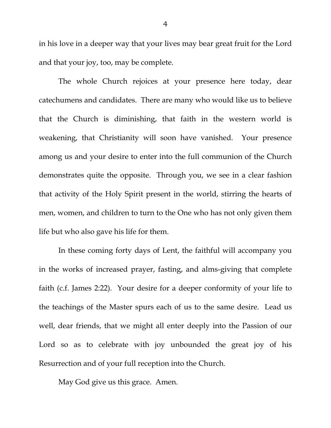in his love in a deeper way that your lives may bear great fruit for the Lord and that your joy, too, may be complete.

The whole Church rejoices at your presence here today, dear catechumens and candidates. There are many who would like us to believe that the Church is diminishing, that faith in the western world is weakening, that Christianity will soon have vanished. Your presence among us and your desire to enter into the full communion of the Church demonstrates quite the opposite. Through you, we see in a clear fashion that activity of the Holy Spirit present in the world, stirring the hearts of men, women, and children to turn to the One who has not only given them life but who also gave his life for them.

In these coming forty days of Lent, the faithful will accompany you in the works of increased prayer, fasting, and alms-giving that complete faith (c.f. James 2:22). Your desire for a deeper conformity of your life to the teachings of the Master spurs each of us to the same desire. Lead us well, dear friends, that we might all enter deeply into the Passion of our Lord so as to celebrate with joy unbounded the great joy of his Resurrection and of your full reception into the Church.

May God give us this grace. Amen.